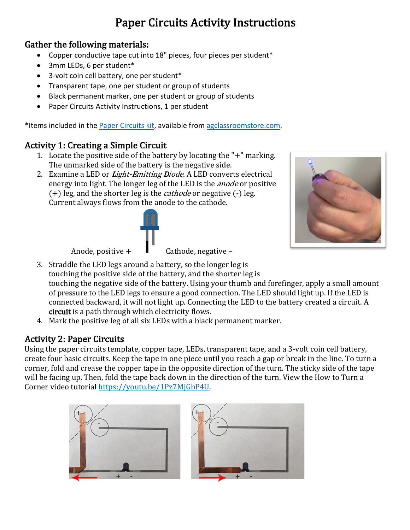# Paper Circuits Activity Instructions

#### Gather the following materials:

- Copper conductive tape cut into 18" pieces, four pieces per student\*
- 3mm LEDs, 6 per student\*
- 3-volt coin cell battery, one per student\*
- Transparent tape, one per student or group of students
- Black permanent marker, one per student or group of students
- Paper Circuits Activity Instructions, 1 per student

\*Items included in the Paper Circuits kit, available from agclassroomstore.com.

#### Activity 1: Creating a Simple Circuit

- 1. Locate the positive side of the battery by locating the " $+$ " marking. The unmarked side of the battery is the negative side.
- 2. Examine a LED or *Light-Emitting Diode*. A LED converts electrical energy into light. The longer leg of the LED is the *anode* or positive  $(+)$  leg, and the shorter leg is the *cathode* or negative  $(-)$  leg. Current always flows from the anode to the cathode.



Anode, positive  $+$   $\blacksquare$  Cathode, negative –

3. Straddle the LED legs around a battery, so the longer leg is touching the positive side of the battery, and the shorter leg is touching the negative side of the battery. Using your thumb and forefinger, apply a small amount of pressure to the LED legs to ensure a good connection. The LED should light up. If the LED is connected backward, it will not light up. Connecting the LED to the battery created a circuit. A circuit is a path through which electricity flows.

4. Mark the positive leg of all six LEDs with a black permanent marker.

## **Activity 2: Paper Circuits**

Using the paper circuits template, copper tape, LEDs, transparent tape, and a 3-volt coin cell battery, create four basic circuits. Keep the tape in one piece until you reach a gap or break in the line. To turn a corner, fold and crease the copper tape in the opposite direction of the turn. The sticky side of the tape will be facing up. Then, fold the tape back down in the direction of the turn. View the How to Turn a Corner video tutorial https://youtu.be/1Pz7MjGbP4U.

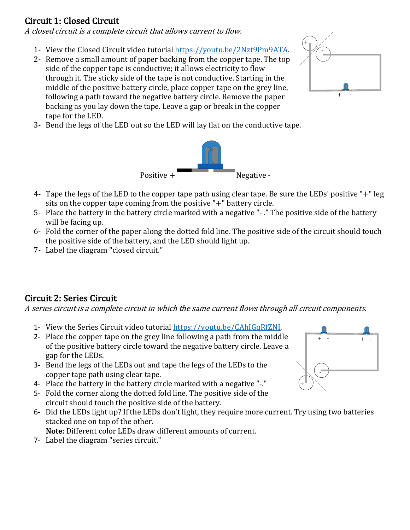### Circuit 1: Closed Circuit

A closed circuit is a complete circuit that allows current to flow.

- 1- View the Closed Circuit video tutorial https://youtu.be/2Nzt9Pm9ATA.
- 2- Remove a small amount of paper backing from the copper tape. The top side of the copper tape is conductive; it allows electricity to flow through it. The sticky side of the tape is not conductive. Starting in the middle of the positive battery circle, place copper tape on the grey line, following a path toward the negative battery circle. Remove the paper backing as you lay down the tape. Leave a gap or break in the copper tape for the LED.



3- Bend the legs of the LED out so the LED will lay flat on the conductive tape.



- 4- Tape the legs of the LED to the copper tape path using clear tape. Be sure the LEDs' positive "+" leg sits on the copper tape coming from the positive  $"$ +" battery circle.
- 5- Place the battery in the battery circle marked with a negative "- ." The positive side of the battery will be facing up.
- 6- Fold the corner of the paper along the dotted fold line. The positive side of the circuit should touch the positive side of the battery, and the LED should light up.
- 7- Label the diagram "closed circuit."

#### Circuit 2: Series Circuit

A series circuit is a complete circuit in which the same current flows through all circuit components.

- 1- View the Series Circuit video tutorial https://youtu.be/CAhIGqRfZNI.
- 2- Place the copper tape on the grey line following a path from the middle of the positive battery circle toward the negative battery circle. Leave a gap for the LEDs.
- 3- Bend the legs of the LEDs out and tape the legs of the LEDs to the copper tape path using clear tape.
- 4- Place the battery in the battery circle marked with a negative "-."
- 5- Fold the corner along the dotted fold line. The positive side of the circuit should touch the positive side of the battery.
- 6- Did the LEDs light up? If the LEDs don't light, they require more current. Try using two batteries stacked one on top of the other. Note: Different color LEDs draw different amounts of current.
- 7- Label the diagram "series circuit."

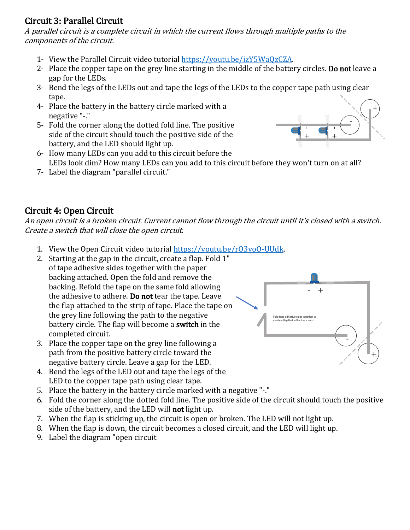#### Circuit 3: Parallel Circuit

A parallel circuit is a complete circuit in which the current flows through multiple paths to the components of the circuit.

- 1- View the Parallel Circuit video tutorial https://youtu.be/izY5WaOzCZA.
- 2- Place the copper tape on the grey line starting in the middle of the battery circles. Do not leave a gap for the LEDs.
- 3- Bend the legs of the LEDs out and tape the legs of the LEDs to the copper tape path using clear tape.
- 4- Place the battery in the battery circle marked with a negative "-."
- 5- Fold the corner along the dotted fold line. The positive side of the circuit should touch the positive side of the battery, and the LED should light up.
- + +.<br>ا +.<br>ا
- 6- How many LEDs can you add to this circuit before the LEDs look dim? How many LEDs can you add to this circuit before they won't turn on at all?
- 7- Label the diagram "parallel circuit."

### Circuit 4: Open Circuit

An open circuit is a broken circuit. Current cannot flow through the circuit until it's closed with a switch. Create a switch that will close the open circuit.

- 1. View the Open Circuit video tutorial https://youtu.be/r03vo0-UUdk.
- 2. Starting at the gap in the circuit, create a flap. Fold  $1$ " of tape adhesive sides together with the paper backing attached. Open the fold and remove the backing. Refold the tape on the same fold allowing the adhesive to adhere. Do not tear the tape. Leave the flap attached to the strip of tape. Place the tape on the grey line following the path to the negative battery circle. The flap will become a **switch** in the completed circuit.
- 3. Place the copper tape on the grey line following a path from the positive battery circle toward the negative battery circle. Leave a gap for the LED.
- 4. Bend the legs of the LED out and tape the legs of the LED to the copper tape path using clear tape.
- 5. Place the battery in the battery circle marked with a negative "-."
- 6. Fold the corner along the dotted fold line. The positive side of the circuit should touch the positive side of the battery, and the LED will **not** light up.
- 7. When the flap is sticking up, the circuit is open or broken. The LED will not light up.
- 8. When the flap is down, the circuit becomes a closed circuit, and the LED will light up.
- 9. Label the diagram "open circuit

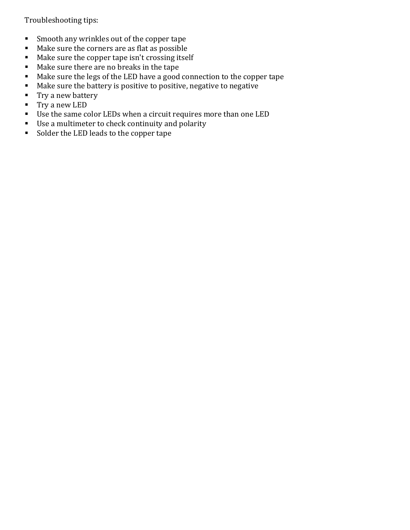Troubleshooting tips:

- Smooth any wrinkles out of the copper tape
- Make sure the corners are as flat as possible
- $\blacksquare$  Make sure the copper tape isn't crossing itself
- Make sure there are no breaks in the tape
- Make sure the legs of the LED have a good connection to the copper tape
- Make sure the battery is positive to positive, negative to negative
- Try a new battery
- $\blacksquare$  Try a new LED
- Use the same color LEDs when a circuit requires more than one LED
- Use a multimeter to check continuity and polarity
- Solder the LED leads to the copper tape